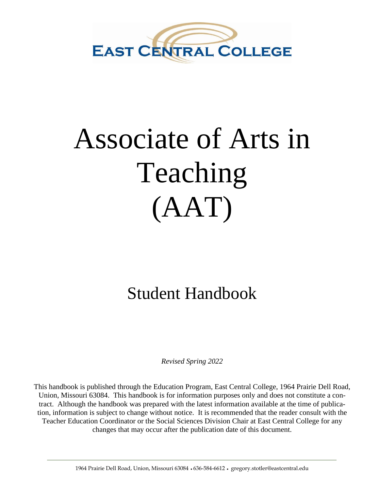

# Associate of Arts in Teaching (AAT)

## Student Handbook

*Revised Spring 2022*

This handbook is published through the Education Program, East Central College, 1964 Prairie Dell Road, Union, Missouri 63084. This handbook is for information purposes only and does not constitute a contract. Although the handbook was prepared with the latest information available at the time of publication, information is subject to change without notice. It is recommended that the reader consult with the Teacher Education Coordinator or the Social Sciences Division Chair at East Central College for any changes that may occur after the publication date of this document.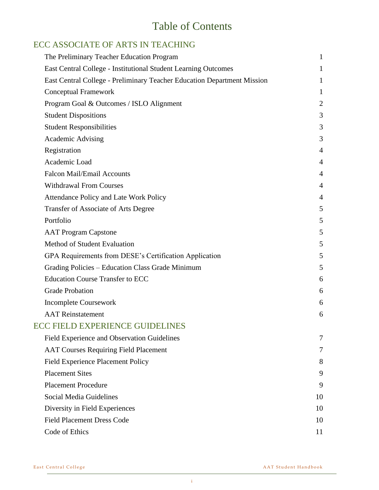## Table of Contents

#### ECC ASSOCIATE OF ARTS IN TEACHING

| The Preliminary Teacher Education Program                               | 1              |
|-------------------------------------------------------------------------|----------------|
| East Central College - Institutional Student Learning Outcomes          | 1              |
| East Central College - Preliminary Teacher Education Department Mission | 1              |
| <b>Conceptual Framework</b>                                             | 1              |
| Program Goal & Outcomes / ISLO Alignment                                | $\overline{2}$ |
| <b>Student Dispositions</b>                                             | 3              |
| <b>Student Responsibilities</b>                                         | 3              |
| <b>Academic Advising</b>                                                | 3              |
| Registration                                                            | 4              |
| Academic Load                                                           | $\overline{4}$ |
| <b>Falcon Mail/Email Accounts</b>                                       | 4              |
| <b>Withdrawal From Courses</b>                                          | 4              |
| Attendance Policy and Late Work Policy                                  | 4              |
| <b>Transfer of Associate of Arts Degree</b>                             | 5              |
| Portfolio                                                               | 5              |
| <b>AAT Program Capstone</b>                                             | 5              |
| Method of Student Evaluation                                            | 5              |
| GPA Requirements from DESE's Certification Application                  | 5              |
| Grading Policies – Education Class Grade Minimum                        | 5              |
| <b>Education Course Transfer to ECC</b>                                 | 6              |
| <b>Grade Probation</b>                                                  | 6              |
| <b>Incomplete Coursework</b>                                            | 6              |
| <b>AAT</b> Reinstatement                                                | 6              |
| <b>ECC FIELD EXPERIENCE GUIDELINES</b>                                  |                |
| Field Experience and Observation Guidelines                             | 7              |
| <b>AAT Courses Requiring Field Placement</b>                            | 7              |
| <b>Field Experience Placement Policy</b>                                | 8              |
| <b>Placement Sites</b>                                                  | 9              |
| <b>Placement Procedure</b>                                              | 9              |
| Social Media Guidelines                                                 | 10             |
| Diversity in Field Experiences                                          | 10             |
| <b>Field Placement Dress Code</b>                                       | 10             |
| Code of Ethics                                                          | 11             |
|                                                                         |                |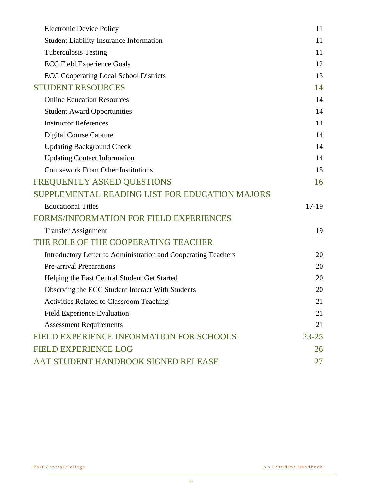| <b>Electronic Device Policy</b>                                | 11        |
|----------------------------------------------------------------|-----------|
| <b>Student Liability Insurance Information</b>                 | 11        |
| <b>Tuberculosis Testing</b>                                    | 11        |
| <b>ECC Field Experience Goals</b>                              | 12        |
| <b>ECC Cooperating Local School Districts</b>                  | 13        |
| <b>STUDENT RESOURCES</b>                                       | 14        |
| <b>Online Education Resources</b>                              | 14        |
| <b>Student Award Opportunities</b>                             | 14        |
| <b>Instructor References</b>                                   | 14        |
| <b>Digital Course Capture</b>                                  | 14        |
| <b>Updating Background Check</b>                               | 14        |
| <b>Updating Contact Information</b>                            | 14        |
| <b>Coursework From Other Institutions</b>                      | 15        |
| FREQUENTLY ASKED QUESTIONS                                     | 16        |
| SUPPLEMENTAL READING LIST FOR EDUCATION MAJORS                 |           |
| <b>Educational Titles</b>                                      | 17-19     |
| <b>FORMS/INFORMATION FOR FIELD EXPERIENCES</b>                 |           |
| <b>Transfer Assignment</b>                                     | 19        |
| THE ROLE OF THE COOPERATING TEACHER                            |           |
| Introductory Letter to Administration and Cooperating Teachers | 20        |
| Pre-arrival Preparations                                       | 20        |
| Helping the East Central Student Get Started                   | 20        |
| Observing the ECC Student Interact With Students               | 20        |
| Activities Related to Classroom Teaching                       | 21        |
| <b>Field Experience Evaluation</b>                             | 21        |
| <b>Assessment Requirements</b>                                 | 21        |
| FIELD EXPERIENCE INFORMATION FOR SCHOOLS                       | $23 - 25$ |
| <b>FIELD EXPERIENCE LOG</b>                                    | 26        |
| AAT STUDENT HANDBOOK SIGNED RELEASE                            | 27        |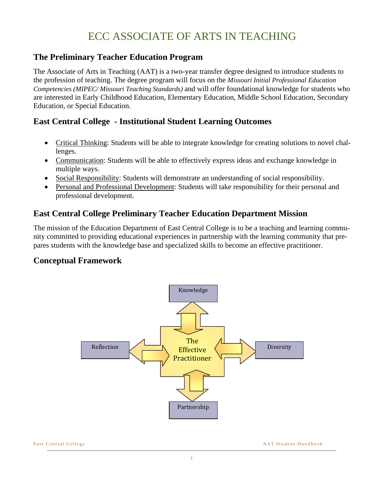## ECC ASSOCIATE OF ARTS IN TEACHING

#### **The Preliminary Teacher Education Program**

The Associate of Arts in Teaching (AAT) is a two-year transfer degree designed to introduce students to the profession of teaching. The degree program will focus on the *Missouri Initial Professional Education Competencies (MIPEC/ Missouri Teaching Standards)* and will offer foundational knowledge for students who are interested in Early Childhood Education, Elementary Education, Middle School Education, Secondary Education, or Special Education.

#### **East Central College - Institutional Student Learning Outcomes**

- Critical Thinking: Students will be able to integrate knowledge for creating solutions to novel challenges.
- Communication: Students will be able to effectively express ideas and exchange knowledge in multiple ways.
- Social Responsibility: Students will demonstrate an understanding of social responsibility.
- Personal and Professional Development: Students will take responsibility for their personal and professional development.

#### **East Central College Preliminary Teacher Education Department Mission**

The mission of the Education Department of East Central College is to be a teaching and learning community committed to providing educational experiences in partnership with the learning community that prepares students with the knowledge base and specialized skills to become an effective practitioner.

#### **Conceptual Framework**

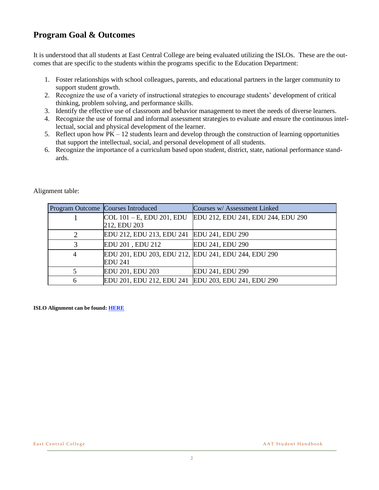#### **Program Goal & Outcomes**

It is understood that all students at East Central College are being evaluated utilizing the ISLOs. These are the outcomes that are specific to the students within the programs specific to the Education Department:

- 1. Foster relationships with school colleagues, parents, and educational partners in the larger community to support student growth.
- 2. Recognize the use of a variety of instructional strategies to encourage students' development of critical thinking, problem solving, and performance skills.
- 3. Identify the effective use of classroom and behavior management to meet the needs of diverse learners.
- 4. Recognize the use of formal and informal assessment strategies to evaluate and ensure the continuous intellectual, social and physical development of the learner.
- 5. Reflect upon how  $PK 12$  students learn and develop through the construction of learning opportunities that support the intellectual, social, and personal development of all students.
- 6. Recognize the importance of a curriculum based upon student, district, state, national performance standards.

|   | Program Outcome Courses Introduced                   | Courses w/ Assessment Linked       |
|---|------------------------------------------------------|------------------------------------|
|   | $\vert$ COL 101 – E, EDU 201, EDU                    | EDU 212, EDU 241, EDU 244, EDU 290 |
|   | 212, EDU 203                                         |                                    |
|   | EDU 212, EDU 213, EDU 241 EDU 241, EDU 290           |                                    |
|   | EDU 201, EDU 212                                     | EDU 241, EDU 290                   |
| 4 | EDU 201, EDU 203, EDU 212, EDU 241, EDU 244, EDU 290 |                                    |
|   | <b>EDU 241</b>                                       |                                    |
|   | EDU 201, EDU 203                                     | EDU 241, EDU 290                   |
| 6 | EDU 201, EDU 212, EDU 241 EDU 203, EDU 241, EDU 290  |                                    |

#### Alignment table:

**ISLO Alignment can be found[: HERE](https://bit.ly/36iE1wm)**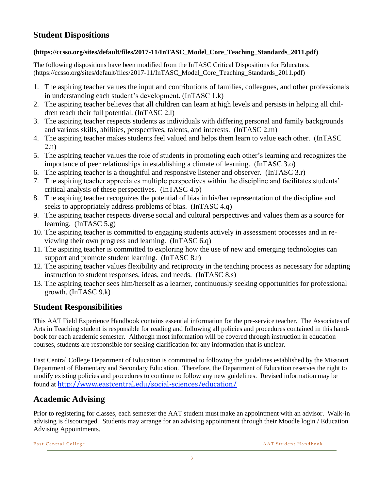#### **Student Dispositions**

#### **(https://ccsso.org/sites/default/files/2017-11/InTASC\_Model\_Core\_Teaching\_Standards\_2011.pdf)**

The following dispositions have been modified from the InTASC Critical Dispositions for Educators. (https://ccsso.org/sites/default/files/2017-11/InTASC\_Model\_Core\_Teaching\_Standards\_2011.pdf)

- 1. The aspiring teacher values the input and contributions of families, colleagues, and other professionals in understanding each student's development. (InTASC 1.k)
- 2. The aspiring teacher believes that all children can learn at high levels and persists in helping all children reach their full potential. (InTASC 2.l)
- 3. The aspiring teacher respects students as individuals with differing personal and family backgrounds and various skills, abilities, perspectives, talents, and interests. (InTASC 2.m)
- 4. The aspiring teacher makes students feel valued and helps them learn to value each other. (InTASC 2.n)
- 5. The aspiring teacher values the role of students in promoting each other's learning and recognizes the importance of peer relationships in establishing a climate of learning. (InTASC 3.o)
- 6. The aspiring teacher is a thoughtful and responsive listener and observer. (InTASC 3.r)
- 7. The aspiring teacher appreciates multiple perspectives within the discipline and facilitates students' critical analysis of these perspectives. (InTASC 4.p)
- 8. The aspiring teacher recognizes the potential of bias in his/her representation of the discipline and seeks to appropriately address problems of bias. (InTASC 4.q)
- 9. The aspiring teacher respects diverse social and cultural perspectives and values them as a source for learning. (InTASC 5.g)
- 10. The aspiring teacher is committed to engaging students actively in assessment processes and in reviewing their own progress and learning. (InTASC 6.q)
- 11. The aspiring teacher is committed to exploring how the use of new and emerging technologies can support and promote student learning. (InTASC 8.r)
- 12. The aspiring teacher values flexibility and reciprocity in the teaching process as necessary for adapting instruction to student responses, ideas, and needs. (InTASC 8.s)
- 13. The aspiring teacher sees him/herself as a learner, continuously seeking opportunities for professional growth. (InTASC 9.k)

#### **Student Responsibilities**

This AAT Field Experience Handbook contains essential information for the pre-service teacher. The Associates of Arts in Teaching student is responsible for reading and following all policies and procedures contained in this handbook for each academic semester. Although most information will be covered through instruction in education courses, students are responsible for seeking clarification for any information that is unclear.

East Central College Department of Education is committed to following the guidelines established by the Missouri Department of Elementary and Secondary Education. Therefore, the Department of Education reserves the right to modify existing policies and procedures to continue to follow any new guidelines. Revised information may be found at <http://www.eastcentral.edu/social-sciences/education/>

#### **Academic Advising**

Prior to registering for classes, each semester the AAT student must make an appointment with an advisor. Walk-in advising is discouraged. Students may arrange for an advising appointment through their Moodle login / Education Advising Appointments.

East Central College **East Central College** A A T Student Handbook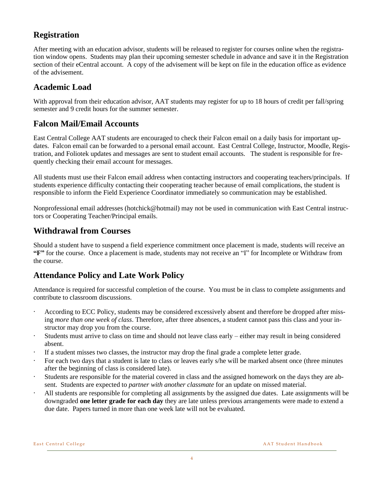#### **Registration**

After meeting with an education advisor, students will be released to register for courses online when the registration window opens. Students may plan their upcoming semester schedule in advance and save it in the Registration section of their eCentral account. A copy of the advisement will be kept on file in the education office as evidence of the advisement.

#### **Academic Load**

With approval from their education advisor, AAT students may register for up to 18 hours of credit per fall/spring semester and 9 credit hours for the summer semester.

#### **Falcon Mail/Email Accounts**

East Central College AAT students are encouraged to check their Falcon email on a daily basis for important updates. Falcon email can be forwarded to a personal email account. East Central College, Instructor, Moodle, Registration, and Foliotek updates and messages are sent to student email accounts. The student is responsible for frequently checking their email account for messages.

All students must use their Falcon email address when contacting instructors and cooperating teachers/principals. If students experience difficulty contacting their cooperating teacher because of email complications, the student is responsible to inform the Field Experience Coordinator immediately so communication may be established.

Nonprofessional email addresses (hotchick@hotmail) may not be used in communication with East Central instructors or Cooperating Teacher/Principal emails.

#### **Withdrawal from Courses**

Should a student have to suspend a field experience commitment once placement is made, students will receive an **"F"** for the course. Once a placement is made, students may not receive an "I" for Incomplete or Withdraw from the course.

#### **Attendance Policy and Late Work Policy**

Attendance is required for successful completion of the course. You must be in class to complete assignments and contribute to classroom discussions.

- According to ECC Policy, students may be considered excessively absent and therefore be dropped after missing *more than one week of class*. Therefore, after three absences, a student cannot pass this class and your instructor may drop you from the course.
- Students must arrive to class on time and should not leave class early  $-$  either may result in being considered absent.
- · If a student misses two classes, the instructor may drop the final grade a complete letter grade.
- For each two days that a student is late to class or leaves early s/he will be marked absent once (three minutes after the beginning of class is considered late).
- Students are responsible for the material covered in class and the assigned homework on the days they are absent. Students are expected to *partner with another classmate* for an update on missed material.
- All students are responsible for completing all assignments by the assigned due dates. Late assignments will be downgraded **one letter grade for each day** they are late unless previous arrangements were made to extend a due date. Papers turned in more than one week late will not be evaluated.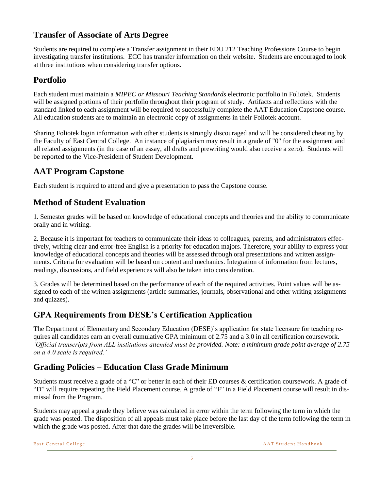#### **Transfer of Associate of Arts Degree**

Students are required to complete a Transfer assignment in their EDU 212 Teaching Professions Course to begin investigating transfer institutions. ECC has transfer information on their website. Students are encouraged to look at three institutions when considering transfer options.

#### **Portfolio**

Each student must maintain a *MIPEC or Missouri Teaching Standards* electronic portfolio in Foliotek. Students will be assigned portions of their portfolio throughout their program of study. Artifacts and reflections with the standard linked to each assignment will be required to successfully complete the AAT Education Capstone course. All education students are to maintain an electronic copy of assignments in their Foliotek account.

Sharing Foliotek login information with other students is strongly discouraged and will be considered cheating by the Faculty of East Central College. An instance of plagiarism may result in a grade of "0" for the assignment and all related assignments (in the case of an essay, all drafts and prewriting would also receive a zero). Students will be reported to the Vice-President of Student Development.

### **AAT Program Capstone**

Each student is required to attend and give a presentation to pass the Capstone course.

#### **Method of Student Evaluation**

1. Semester grades will be based on knowledge of educational concepts and theories and the ability to communicate orally and in writing.

2. Because it is important for teachers to communicate their ideas to colleagues, parents, and administrators effectively, writing clear and error-free English is a priority for education majors. Therefore, your ability to express your knowledge of educational concepts and theories will be assessed through oral presentations and written assignments. Criteria for evaluation will be based on content and mechanics. Integration of information from lectures, readings, discussions, and field experiences will also be taken into consideration.

3. Grades will be determined based on the performance of each of the required activities. Point values will be assigned to each of the written assignments (article summaries, journals, observational and other writing assignments and quizzes).

#### **GPA Requirements from DESE's Certification Application**

The Department of Elementary and Secondary Education (DESE)'s application for state licensure for teaching requires all candidates earn an overall cumulative GPA minimum of 2.75 and a 3.0 in all certification coursework. *'Official transcripts from ALL institutions attended must be provided. Note: a minimum grade point average of 2.75 on a 4.0 scale is required.'* 

### **Grading Policies – Education Class Grade Minimum**

Students must receive a grade of a "C" or better in each of their ED courses & certification coursework. A grade of "D" will require repeating the Field Placement course. A grade of "F" in a Field Placement course will result in dismissal from the Program.

Students may appeal a grade they believe was calculated in error within the term following the term in which the grade was posted. The disposition of all appeals must take place before the last day of the term following the term in which the grade was posted. After that date the grades will be irreversible.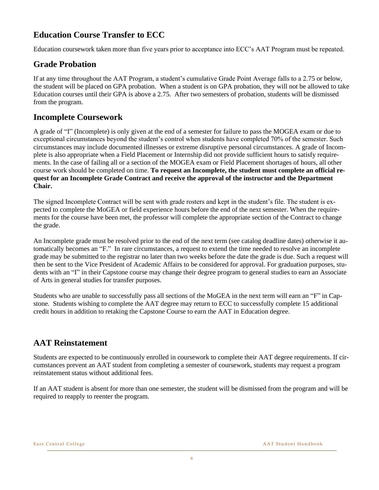#### **Education Course Transfer to ECC**

Education coursework taken more than five years prior to acceptance into ECC's AAT Program must be repeated.

#### **Grade Probation**

If at any time throughout the AAT Program, a student's cumulative Grade Point Average falls to a 2.75 or below, the student will be placed on GPA probation. When a student is on GPA probation, they will not be allowed to take Education courses until their GPA is above a 2.75. After two semesters of probation, students will be dismissed from the program.

#### **Incomplete Coursework**

A grade of "I" (Incomplete) is only given at the end of a semester for failure to pass the MOGEA exam or due to exceptional circumstances beyond the student's control when students have completed 70% of the semester. Such circumstances may include documented illnesses or extreme disruptive personal circumstances. A grade of Incomplete is also appropriate when a Field Placement or Internship did not provide sufficient hours to satisfy requirements. In the case of failing all or a section of the MOGEA exam or Field Placement shortages of hours, all other course work should be completed on time. **To request an Incomplete, the student must complete an official request for an Incomplete Grade Contract and receive the approval of the instructor and the Department Chair.** 

The signed Incomplete Contract will be sent with grade rosters and kept in the student's file. The student is expected to complete the MoGEA or field experience hours before the end of the next semester. When the requirements for the course have been met, the professor will complete the appropriate section of the Contract to change the grade.

An Incomplete grade must be resolved prior to the end of the next term (see catalog deadline dates) otherwise it automatically becomes an "F." In rare circumstances, a request to extend the time needed to resolve an incomplete grade may be submitted to the registrar no later than two weeks before the date the grade is due. Such a request will then be sent to the Vice President of Academic Affairs to be considered for approval. For graduation purposes, students with an "I" in their Capstone course may change their degree program to general studies to earn an Associate of Arts in general studies for transfer purposes.

Students who are unable to successfully pass all sections of the MoGEA in the next term will earn an "F" in Capstone. Students wishing to complete the AAT degree may return to ECC to successfully complete 15 additional credit hours in addition to retaking the Capstone Course to earn the AAT in Education degree.

#### **AAT Reinstatement**

Students are expected to be continuously enrolled in coursework to complete their AAT degree requirements. If circumstances prevent an AAT student from completing a semester of coursework, students may request a program reinstatement status without additional fees.

If an AAT student is absent for more than one semester, the student will be dismissed from the program and will be required to reapply to reenter the program.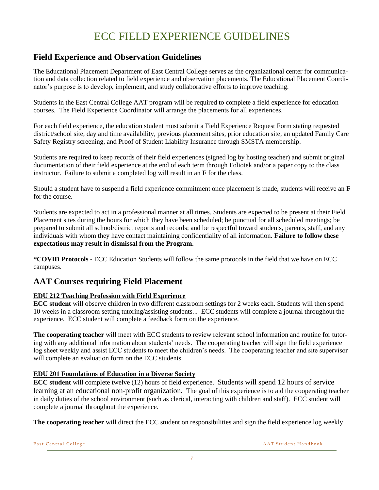## ECC FIELD EXPERIENCE GUIDELINES

#### **Field Experience and Observation Guidelines**

The Educational Placement Department of East Central College serves as the organizational center for communication and data collection related to field experience and observation placements. The Educational Placement Coordinator's purpose is to develop, implement, and study collaborative efforts to improve teaching.

Students in the East Central College AAT program will be required to complete a field experience for education courses. The Field Experience Coordinator will arrange the placements for all experiences.

For each field experience, the education student must submit a Field Experience Request Form stating requested district/school site, day and time availability, previous placement sites, prior education site, an updated Family Care Safety Registry screening, and Proof of Student Liability Insurance through SMSTA membership.

Students are required to keep records of their field experiences (signed log by hosting teacher) and submit original documentation of their field experience at the end of each term through Foliotek and/or a paper copy to the class instructor. Failure to submit a completed log will result in an **F** for the class.

Should a student have to suspend a field experience commitment once placement is made, students will receive an **F** for the course.

Students are expected to act in a professional manner at all times. Students are expected to be present at their Field Placement sites during the hours for which they have been scheduled; be punctual for all scheduled meetings; be prepared to submit all school/district reports and records; and be respectful toward students, parents, staff, and any individuals with whom they have contact maintaining confidentiality of all information. **Failure to follow these expectations may result in dismissal from the Program.** 

**\*COVID Protocols -** ECC Education Students will follow the same protocols in the field that we have on ECC campuses.

#### **AAT Courses requiring Field Placement**

#### **EDU 212 Teaching Profession with Field Experience**

**ECC student** will observe children in two different classroom settings for 2 weeks each. Students will then spend 10 weeks in a classroom setting tutoring/assisting students... ECC students will complete a journal throughout the experience. ECC student will complete a feedback form on the experience.

**The cooperating teacher** will meet with ECC students to review relevant school information and routine for tutoring with any additional information about students' needs. The cooperating teacher will sign the field experience log sheet weekly and assist ECC students to meet the children's needs. The cooperating teacher and site supervisor will complete an evaluation form on the ECC students.

#### **EDU 201 Foundations of Education in a Diverse Society**

**ECC student** will complete twelve (12) hours of field experience. Students will spend 12 hours of service learning at an educational non-profit organization. The goal of this experience is to aid the cooperating teacher in daily duties of the school environment (such as clerical, interacting with children and staff). ECC student will complete a journal throughout the experience.

**The cooperating teacher** will direct the ECC student on responsibilities and sign the field experience log weekly.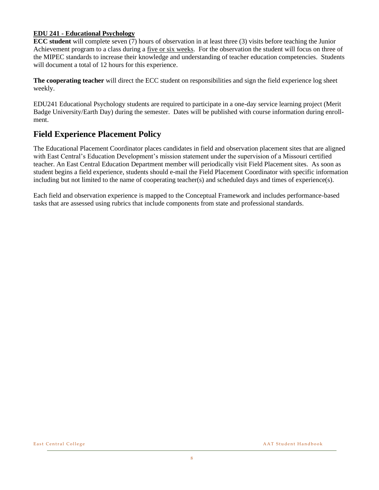#### **EDU 241 - Educational Psychology**

**ECC student** will complete seven (7) hours of observation in at least three (3) visits before teaching the Junior Achievement program to a class during a five or six weeks. For the observation the student will focus on three of the MIPEC standards to increase their knowledge and understanding of teacher education competencies. Students will document a total of 12 hours for this experience.

**The cooperating teacher** will direct the ECC student on responsibilities and sign the field experience log sheet weekly.

EDU241 Educational Psychology students are required to participate in a one-day service learning project (Merit Badge University/Earth Day) during the semester. Dates will be published with course information during enrollment.

#### **Field Experience Placement Policy**

The Educational Placement Coordinator places candidates in field and observation placement sites that are aligned with East Central's Education Development's mission statement under the supervision of a Missouri certified teacher. An East Central Education Department member will periodically visit Field Placement sites. As soon as student begins a field experience, students should e-mail the Field Placement Coordinator with specific information including but not limited to the name of cooperating teacher(s) and scheduled days and times of experience(s).

Each field and observation experience is mapped to the Conceptual Framework and includes performance-based tasks that are assessed using rubrics that include components from state and professional standards.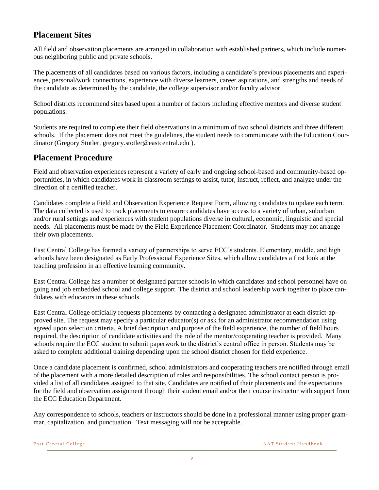#### **Placement Sites**

All field and observation placements are arranged in collaboration with established partners**,** which include numerous neighboring public and private schools.

The placements of all candidates based on various factors, including a candidate's previous placements and experiences, personal/work connections, experience with diverse learners, career aspirations, and strengths and needs of the candidate as determined by the candidate, the college supervisor and/or faculty advisor.

School districts recommend sites based upon a number of factors including effective mentors and diverse student populations.

Students are required to complete their field observations in a minimum of two school districts and three different schools. If the placement does not meet the guidelines, the student needs to communicate with the Education Coordinator (Gregory Stotler, gregory.stotler@eastcentral.edu ).

#### **Placement Procedure**

Field and observation experiences represent a variety of early and ongoing school-based and community-based opportunities, in which candidates work in classroom settings to assist, tutor, instruct, reflect, and analyze under the direction of a certified teacher.

Candidates complete a Field and Observation Experience Request Form, allowing candidates to update each term. The data collected is used to track placements to ensure candidates have access to a variety of urban, suburban and/or rural settings and experiences with student populations diverse in cultural, economic, linguistic and special needs. All placements must be made by the Field Experience Placement Coordinator. Students may not arrange their own placements.

East Central College has formed a variety of partnerships to serve ECC's students. Elementary, middle, and high schools have been designated as Early Professional Experience Sites, which allow candidates a first look at the teaching profession in an effective learning community.

East Central College has a number of designated partner schools in which candidates and school personnel have on going and job embedded school and college support. The district and school leadership work together to place candidates with educators in these schools.

East Central College officially requests placements by contacting a designated administrator at each district-approved site. The request may specify a particular educator(s) or ask for an administrator recommendation using agreed upon selection criteria. A brief description and purpose of the field experience, the number of field hours required, the description of candidate activities and the role of the mentor/cooperating teacher is provided. Many schools require the ECC student to submit paperwork to the district's central office in person. Students may be asked to complete additional training depending upon the school district chosen for field experience.

Once a candidate placement is confirmed, school administrators and cooperating teachers are notified through email of the placement with a more detailed description of roles and responsibilities. The school contact person is provided a list of all candidates assigned to that site. Candidates are notified of their placements and the expectations for the field and observation assignment through their student email and/or their course instructor with support from the ECC Education Department.

Any correspondence to schools, teachers or instructors should be done in a professional manner using proper grammar, capitalization, and punctuation. Text messaging will not be acceptable.

East Central College **East Central College** A A T Student Handbook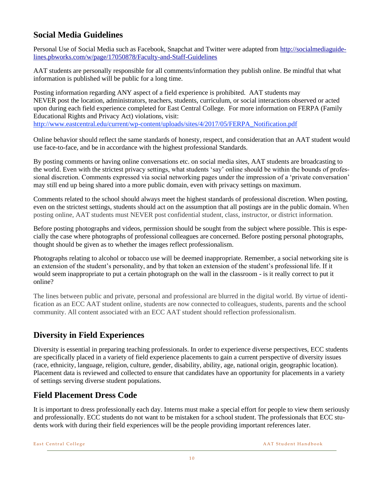#### **Social Media Guidelines**

Personal Use of Social Media such as Facebook, Snapchat and Twitter were adapted from [http://socialmediaguide](http://socialmediaguidelines.pbworks.com/w/page/17050878/Faculty-and-Staff-Guidelines)[lines.pbworks.com/w/page/17050878/Faculty-and-Staff-Guidelines](http://socialmediaguidelines.pbworks.com/w/page/17050878/Faculty-and-Staff-Guidelines)

AAT students are personally responsible for all comments/information they publish online. Be mindful that what information is published will be public for a long time.

Posting information regarding ANY aspect of a field experience is prohibited. AAT students may NEVER post the location, administrators, teachers, students, curriculum, or social interactions observed or acted upon during each field experience completed for East Central College. For more information on FERPA (Family Educational Rights and Privacy Act) violations, visit: [http://www.eastcentral.edu/current/wp-content/uploads/sites/4/2017/05/FERPA\\_Notification.pdf](http://www.eastcentral.edu/current/wp-content/uploads/sites/4/2017/05/FERPA_Notification.pdf)

Online behavior should reflect the same standards of honesty, respect, and consideration that an AAT student would use face-to-face, and be in accordance with the highest professional Standards.

By posting comments or having online conversations etc. on social media sites, AAT students are broadcasting to the world. Even with the strictest privacy settings, what students 'say' online should be within the bounds of professional discretion. Comments expressed via social networking pages under the impression of a 'private conversation' may still end up being shared into a more public domain, even with privacy settings on maximum.

Comments related to the school should always meet the highest standards of professional discretion. When posting, even on the strictest settings, students should act on the assumption that all postings are in the public domain. When posting online, AAT students must NEVER post confidential student, class, instructor, or district information.

Before posting photographs and videos, permission should be sought from the subject where possible. This is especially the case where photographs of professional colleagues are concerned. Before posting personal photographs, thought should be given as to whether the images reflect professionalism.

Photographs relating to alcohol or tobacco use will be deemed inappropriate. Remember, a social networking site is an extension of the student's personality, and by that token an extension of the student's professional life. If it would seem inappropriate to put a certain photograph on the wall in the classroom - is it really correct to put it online?

The lines between public and private, personal and professional are blurred in the digital world. By virtue of identification as an ECC AAT student online, students are now connected to colleagues, students, parents and the school community. All content associated with an ECC AAT student should reflection professionalism.

#### **Diversity in Field Experiences**

Diversity is essential in preparing teaching professionals. In order to experience diverse perspectives, ECC students are specifically placed in a variety of field experience placements to gain a current perspective of diversity issues (race, ethnicity, language, religion, culture, gender, disability, ability, age, national origin, geographic location). Placement data is reviewed and collected to ensure that candidates have an opportunity for placements in a variety of settings serving diverse student populations.

#### **Field Placement Dress Code**

It is important to dress professionally each day. Interns must make a special effort for people to view them seriously and professionally. ECC students do not want to be mistaken for a school student. The professionals that ECC students work with during their field experiences will be the people providing important references later.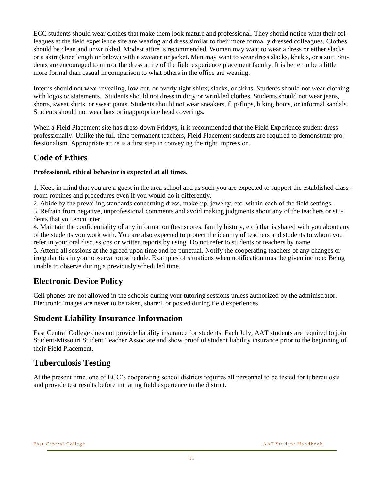ECC students should wear clothes that make them look mature and professional. They should notice what their colleagues at the field experience site are wearing and dress similar to their more formally dressed colleagues. Clothes should be clean and unwrinkled. Modest attire is recommended. Women may want to wear a dress or either slacks or a skirt (knee length or below) with a sweater or jacket. Men may want to wear dress slacks, khakis, or a suit. Students are encouraged to mirror the dress attire of the field experience placement faculty. It is better to be a little more formal than casual in comparison to what others in the office are wearing.

Interns should not wear revealing, low-cut, or overly tight shirts, slacks, or skirts. Students should not wear clothing with logos or statements. Students should not dress in dirty or wrinkled clothes. Students should not wear jeans, shorts, sweat shirts, or sweat pants. Students should not wear sneakers, flip-flops, hiking boots, or informal sandals. Students should not wear hats or inappropriate head coverings.

When a Field Placement site has dress-down Fridays, it is recommended that the Field Experience student dress professionally. Unlike the full-time permanent teachers, Field Placement students are required to demonstrate professionalism. Appropriate attire is a first step in conveying the right impression.

#### **Code of Ethics**

#### **Professional, ethical behavior is expected at all times.**

1. Keep in mind that you are a guest in the area school and as such you are expected to support the established classroom routines and procedures even if you would do it differently.

2. Abide by the prevailing standards concerning dress, make-up, jewelry, etc. within each of the field settings.

3. Refrain from negative, unprofessional comments and avoid making judgments about any of the teachers or students that you encounter.

4. Maintain the confidentiality of any information (test scores, family history, etc.) that is shared with you about any of the students you work with. You are also expected to protect the identity of teachers and students to whom you refer in your oral discussions or written reports by using. Do not refer to students or teachers by name.

5. Attend all sessions at the agreed upon time and be punctual. Notify the cooperating teachers of any changes or irregularities in your observation schedule. Examples of situations when notification must be given include: Being unable to observe during a previously scheduled time.

#### **Electronic Device Policy**

Cell phones are not allowed in the schools during your tutoring sessions unless authorized by the administrator. Electronic images are never to be taken, shared, or posted during field experiences.

#### **Student Liability Insurance Information**

East Central College does not provide liability insurance for students. Each July, AAT students are required to join Student-Missouri Student Teacher Associate and show proof of student liability insurance prior to the beginning of their Field Placement.

#### **Tuberculosis Testing**

At the present time, one of ECC's cooperating school districts requires all personnel to be tested for tuberculosis and provide test results before initiating field experience in the district.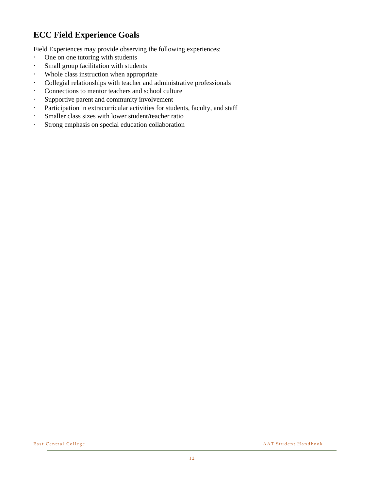### **ECC Field Experience Goals**

Field Experiences may provide observing the following experiences:

- · One on one tutoring with students
- · Small group facilitation with students
- · Whole class instruction when appropriate
- · Collegial relationships with teacher and administrative professionals
- · Connections to mentor teachers and school culture
- · Supportive parent and community involvement
- · Participation in extracurricular activities for students, faculty, and staff
- · Smaller class sizes with lower student/teacher ratio
- · Strong emphasis on special education collaboration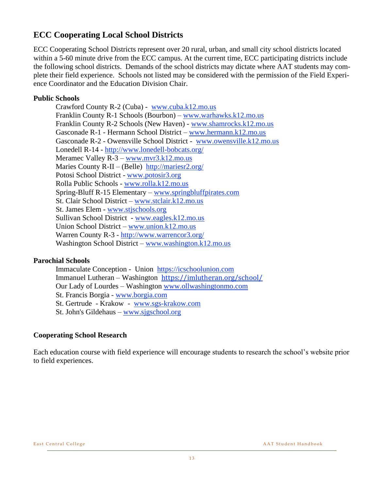#### **ECC Cooperating Local School Districts**

ECC Cooperating School Districts represent over 20 rural, urban, and small city school districts located within a 5-60 minute drive from the ECC campus. At the current time, ECC participating districts include the following school districts. Demands of the school districts may dictate where AAT students may complete their field experience. Schools not listed may be considered with the permission of the Field Experience Coordinator and the Education Division Chair.

#### **Public Schools**

Crawford County R-2 (Cuba) - [www.cuba.k12.mo.us](http://www.cuba.k12.mo.us/) Franklin County R-1 Schools (Bourbon) – [www.warhawks.k12.mo.us](http://www.warhawks.k12.mo.us/) Franklin County R-2 Schools (New Haven) - [www.shamrocks.k12.mo.us](http://www.shamrocks.k12.mo.us/) Gasconade R-1 - Hermann School District – [www.hermann.k12.mo.us](http://www.hermann.k12.mo.us/) Gasconade R-2 - Owensville School District - [www.owensville.k12.mo.us](http://www.owensville.k12.mo.us/) Lonedell R-14 - <http://www.lonedell-bobcats.org/> Meramec Valley  $R - 3 - www.mvr3.k12.mo.us$  $R - 3 - www.mvr3.k12.mo.us$ Maries County R-II – (Belle) <http://mariesr2.org/> Potosi School District - [www.potosir3.org](http://www.potosir3.org/) Rolla Public Schools - [www.rolla.k12.mo.us](http://www.rolla.k12.mo.us/) Spring-Bluff R-15 Elementary – [www.springbluffpirates.com](http://www.springbluffpirates.com/) St. Clair School District – [www.stclair.k12.mo.us](http://www.stclair.k12.mo.us/) St. James Elem - [www.stjschools.org](http://www.stjschools.org/) Sullivan School District - [www.eagles.k12.mo.us](http://www.eagles.k12.mo.us/) Union School District – [www.union.k12.mo.us](http://www.union.k12.mo.us/) Warren County R-3 - <http://www.warrencor3.org/> Washington School District – [www.washington.k12.mo.us](http://www.washington.k12.mo.us/)

#### **Parochial Schools**

Immaculate Conception - Union [https://icschoolunion.com](https://icschoolunion.com/) Immanuel Lutheran – Washington <https://imlutheran.org/school/> Our Lady of Lourdes – Washington [www.ollwashingtonmo.com](http://www.ollwashingtonmo.com/) St. Francis Borgia - [www.borgia.com](http://www.borgia.com/) St. Gertrude - Krakow - [www.sgs-krakow.com](http://www.sgs-krakow.com/) St. John's Gildehaus – [www.sjgschool.org](http://www.sjgschool.org/)

#### **Cooperating School Research**

Each education course with field experience will encourage students to research the school's website prior to field experiences.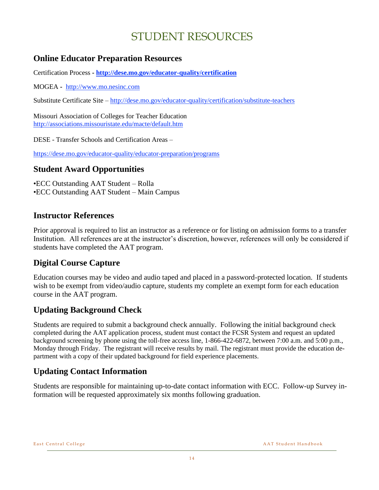## STUDENT RESOURCES

#### **Online Educator Preparation Resources**

Certification Process **- <http://dese.mo.gov/educator-quality/certification>**

MOGEA **-** [http://www.mo.nesinc.com](http://www.mo.nesinc.com/)

Substitute Certificate Site – <http://dese.mo.gov/educator-quality/certification/substitute-teachers>

Missouri Association of Colleges for Teacher Education <http://associations.missouristate.edu/macte/default.htm>

DESE - Transfer Schools and Certification Areas –

<https://dese.mo.gov/educator-quality/educator-preparation/programs>

#### **Student Award Opportunities**

•ECC Outstanding AAT Student – Rolla •ECC Outstanding AAT Student – Main Campus

#### **Instructor References**

Prior approval is required to list an instructor as a reference or for listing on admission forms to a transfer Institution. All references are at the instructor's discretion, however, references will only be considered if students have completed the AAT program.

#### **Digital Course Capture**

Education courses may be video and audio taped and placed in a password-protected location. If students wish to be exempt from video/audio capture, students my complete an exempt form for each education course in the AAT program.

#### **Updating Background Check**

Students are required to submit a background check annually. Following the initial background check completed during the AAT application process, student must contact the FCSR System and request an updated background screening by phone using the toll-free access line, 1-866-422-6872, between 7:00 a.m. and 5:00 p.m., Monday through Friday. The registrant will receive results by mail. The registrant must provide the education department with a copy of their updated background for field experience placements.

### **Updating Contact Information**

Students are responsible for maintaining up-to-date contact information with ECC. Follow-up Survey information will be requested approximately six months following graduation.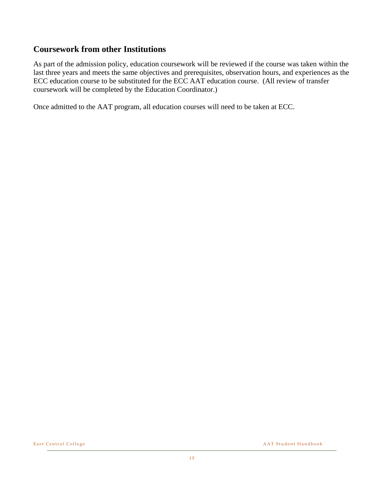#### **Coursework from other Institutions**

As part of the admission policy, education coursework will be reviewed if the course was taken within the last three years and meets the same objectives and prerequisites, observation hours, and experiences as the ECC education course to be substituted for the ECC AAT education course. (All review of transfer coursework will be completed by the Education Coordinator.)

Once admitted to the AAT program, all education courses will need to be taken at ECC.

East Central College and the set of the set of the set of the set of the AAT Student Handbook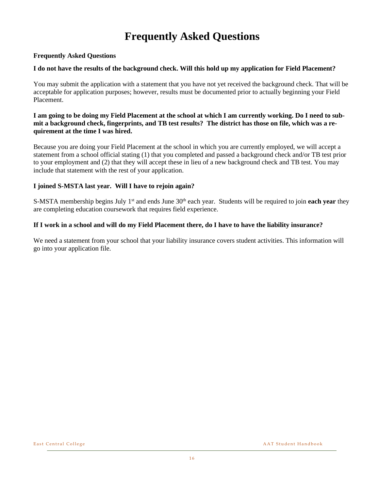## **Frequently Asked Questions**

#### **Frequently Asked Questions**

#### **I do not have the results of the background check. Will this hold up my application for Field Placement?**

You may submit the application with a statement that you have not yet received the background check. That will be acceptable for application purposes; however, results must be documented prior to actually beginning your Field Placement.

#### **I am going to be doing my Field Placement at the school at which I am currently working. Do I need to submit a background check, fingerprints, and TB test results? The district has those on file, which was a requirement at the time I was hired.**

Because you are doing your Field Placement at the school in which you are currently employed, we will accept a statement from a school official stating (1) that you completed and passed a background check and/or TB test prior to your employment and (2) that they will accept these in lieu of a new background check and TB test. You may include that statement with the rest of your application.

#### **I joined S-MSTA last year. Will I have to rejoin again?**

S-MSTA membership begins July 1st and ends June 30th each year. Students will be required to join **each year** they are completing education coursework that requires field experience.

#### **If I work in a school and will do my Field Placement there, do I have to have the liability insurance?**

We need a statement from your school that your liability insurance covers student activities. This information will go into your application file.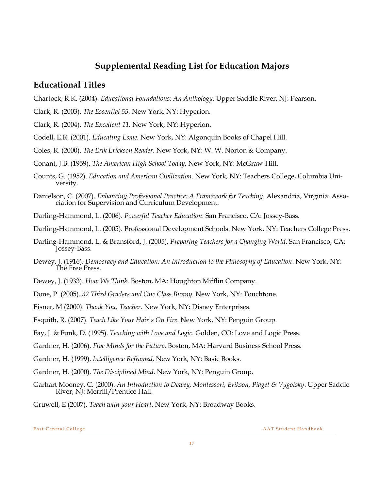#### **Supplemental Reading List for Education Majors**

#### **Educational Titles**

- Chartock, R.K. (2004). *Educational Foundations: An Anthology.* Upper Saddle River, NJ: Pearson.
- Clark, R. (2003). *The Essential 55.* New York, NY: Hyperion.
- Clark, R. (2004). *The Excellent 11.* New York, NY: Hyperion.
- Codell, E.R. (2001). *Educating Esme.* New York, NY: Algonquin Books of Chapel Hill.
- Coles, R. (2000). *The Erik Erickson Reader.* New York, NY: W. W. Norton & Company.
- Conant, J.B. (1959). *The American High School Today.* New York, NY: McGraw-Hill.
- Counts, G. (1952). *Education and American Civilization.* New York, NY: Teachers College, Columbia University.
- Danielson, C. (2007). *Enhancing Professional Practice: A Framework for Teaching.* Alexandria, Virginia: Association for Supervision and Curriculum Development.
- Darling-Hammond, L. (2006). *Powerful Teacher Education*. San Francisco, CA: Jossey-Bass.
- Darling-Hammond, L. (2005). Professional Development Schools. New York, NY: Teachers College Press.
- Darling-Hammond, L. & Bransford, J. (2005). *Preparing Teachers for a Changing World*. San Francisco, CA: Jossey-Bass.
- Dewey, J. (1916). *Democracy and Education: An Introduction to the Philosophy of Education*. New York, NY: The Free Press.
- Dewey, J. (1933). *How We Think*. Boston, MA: Houghton Mifflin Company.
- Done, P. (2005). *32 Third Graders and One Class Bunny.* New York, NY: Touchtone.
- Eisner, M (2000). *Thank You, Teacher.* New York, NY: Disney Enterprises.
- Esquith, R. (2007). *Teach Like Your Hair's On Fire*. New York, NY: Penguin Group.
- Fay, J. & Funk, D. (1995). *Teaching with Love and Logic.* Golden, CO: Love and Logic Press.
- Gardner, H. (2006). *Five Minds for the Future*. Boston, MA: Harvard Business School Press.
- Gardner, H. (1999). *Intelligence Reframed*. New York, NY: Basic Books.
- Gardner, H. (2000). *The Disciplined Mind*. New York, NY: Penguin Group.
- Garhart Mooney, C. (2000). *An Introduction to Dewey, Montessori, Erikson, Piaget & Vygotsky*. Upper Saddle River, NJ: Merrill/Prentice Hall.
- Gruwell, E (2007). *Teach with your Heart*. New York, NY: Broadway Books.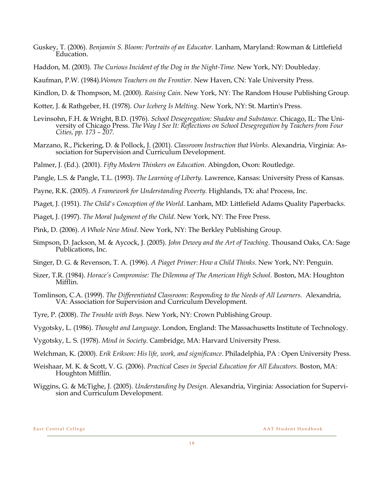- Guskey, T. (2006). *Benjamin S. Bloom: Portraits of an Educator.* Lanham, Maryland: Rowman & Littlefield Education.
- Haddon, M. (2003). *The Curious Incident of the Dog in the Night-Time.* New York, NY: Doubleday.

Kaufman, P.W. (1984).*Women Teachers on the Frontier.* New Haven, CN: Yale University Press.

Kindlon, D. & Thompson, M. (2000). *Raising Cain*. New York, NY: The Random House Publishing Group.

Kotter, J. & Rathgeber, H. (1978). *Our Iceberg Is Melting*. New York, NY: St. Martin's Press.

- Levinsohn, F.H. & Wright, B.D. (1976). *School Desegregation: Shadow and Substance.* Chicago, IL: The University of Chicago Press. *The Way I See It: Reflections on School Desegregation by Teachers from Four Cities, pp. 173 – 207.*
- Marzano, R., Pickering, D. & Pollock, J. (2001). *Classroom Instruction that Works.* Alexandria, Virginia: Association for Supervision and Curriculum Development.

Palmer, J. (Ed.). (2001). *Fifty Modern Thinkers on Education*. Abingdon, Oxon: Routledge.

Pangle, L.S. & Pangle, T.L. (1993). *The Learning of Liberty.* Lawrence, Kansas: University Press of Kansas.

- Payne, R.K. (2005). *A Framework for Understanding Poverty.* Highlands, TX: aha! Process, Inc.
- Piaget, J. (1951). *The Child's Conception of the World*. Lanham, MD: Littlefield Adams Quality Paperbacks.
- Piaget, J. (1997). *The Moral Judgment of the Child*. New York, NY: The Free Press.
- Pink, D. (2006). *A Whole New Mind*. New York, NY: The Berkley Publishing Group.
- Simpson, D. Jackson, M. & Aycock, J. (2005). *John Dewey and the Art of Teaching*. Thousand Oaks, CA: Sage Publications, Inc.
- Singer, D. G. & Revenson, T. A. (1996). *A Piaget Primer: How a Child Thinks*. New York, NY: Penguin.
- Sizer, T.R. (1984). *Horace's Compromise: The Dilemma of The American High School.* Boston, MA: Houghton Mifflin.
- Tomlinson, C.A. (1999). *The Differentiated Classroom: Responding to the Needs of All Learners.* Alexandria, VA: Association for Supervision and Curriculum Development.

Tyre, P. (2008). *The Trouble with Boys.* New York, NY: Crown Publishing Group.

Vygotsky, L. (1986). *Thought and Language*. London, England: The Massachusetts Institute of Technology.

Vygotsky, L. S. (1978). *Mind in Society*. Cambridge, MA: Harvard University Press.

- Welchman, K. (2000). *Erik Erikson: His life, work, and significance*. Philadelphia, PA : Open University Press.
- Weishaar, M. K. & Scott, V. G. (2006). *Practical Cases in Special Education for All Educators*. Boston, MA: Houghton Mifflin.
- Wiggins, G. & McTighe, J. (2005). *Understanding by Design.* Alexandria, Virginia: Association for Supervision and Curriculum Development.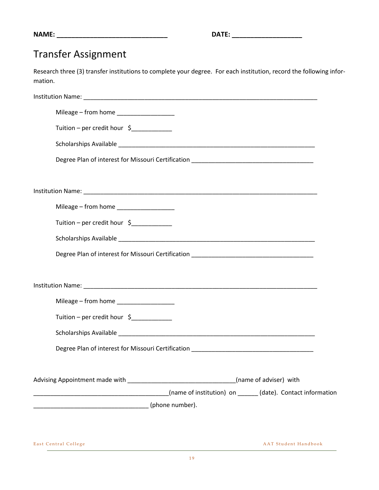**NAME: \_\_\_\_\_\_\_\_\_\_\_\_\_\_\_\_\_\_\_\_\_\_\_\_\_\_\_\_\_\_ DATE: \_\_\_\_\_\_\_\_\_\_\_\_\_\_\_\_\_\_\_**

## Transfer Assignment

Research three (3) transfer institutions to complete your degree. For each institution, record the following information.

| Mileage - from home ______________________                                 |  |
|----------------------------------------------------------------------------|--|
| Tuition – per credit hour \$____________                                   |  |
|                                                                            |  |
|                                                                            |  |
|                                                                            |  |
|                                                                            |  |
| Mileage - from home ______________________                                 |  |
| Tuition - per credit hour \$                                               |  |
|                                                                            |  |
|                                                                            |  |
|                                                                            |  |
|                                                                            |  |
| Mileage - from home _______________________                                |  |
| Tuition - per credit hour \$                                               |  |
|                                                                            |  |
|                                                                            |  |
|                                                                            |  |
| Advising Appointment made with the state of adviser (name of adviser) with |  |
| (name of institution) on ______(date). Contact information                 |  |
| _________________________________(phone number).                           |  |
|                                                                            |  |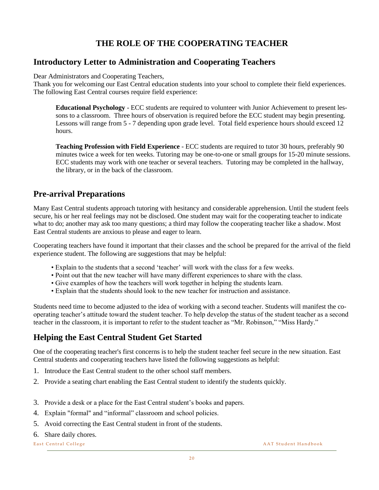### **THE ROLE OF THE COOPERATING TEACHER**

#### **Introductory Letter to Administration and Cooperating Teachers**

Dear Administrators and Cooperating Teachers,

Thank you for welcoming our East Central education students into your school to complete their field experiences. The following East Central courses require field experience:

**Educational Psychology** - ECC students are required to volunteer with Junior Achievement to present lessons to a classroom. Three hours of observation is required before the ECC student may begin presenting. Lessons will range from 5 - 7 depending upon grade level. Total field experience hours should exceed 12 hours.

**Teaching Profession with Field Experience** - ECC students are required to tutor 30 hours, preferably 90 minutes twice a week for ten weeks. Tutoring may be one-to-one or small groups for 15-20 minute sessions. ECC students may work with one teacher or several teachers. Tutoring may be completed in the hallway, the library, or in the back of the classroom.

#### **Pre-arrival Preparations**

Many East Central students approach tutoring with hesitancy and considerable apprehension. Until the student feels secure, his or her real feelings may not be disclosed. One student may wait for the cooperating teacher to indicate what to do; another may ask too many questions; a third may follow the cooperating teacher like a shadow. Most East Central students are anxious to please and eager to learn.

Cooperating teachers have found it important that their classes and the school be prepared for the arrival of the field experience student. The following are suggestions that may be helpful:

- Explain to the students that a second 'teacher' will work with the class for a few weeks.
- Point out that the new teacher will have many different experiences to share with the class.
- Give examples of how the teachers will work together in helping the students learn.
- Explain that the students should look to the new teacher for instruction and assistance.

Students need time to become adjusted to the idea of working with a second teacher. Students will manifest the cooperating teacher's attitude toward the student teacher. To help develop the status of the student teacher as a second teacher in the classroom, it is important to refer to the student teacher as "Mr. Robinson," "Miss Hardy."

#### **Helping the East Central Student Get Started**

One of the cooperating teacher's first concerns is to help the student teacher feel secure in the new situation. East Central students and cooperating teachers have listed the following suggestions as helpful:

- 1. Introduce the East Central student to the other school staff members.
- 2. Provide a seating chart enabling the East Central student to identify the students quickly.
- 3. Provide a desk or a place for the East Central student's books and papers.
- 4. Explain "formal" and "informal" classroom and school policies.
- 5. Avoid correcting the East Central student in front of the students.
- 6. Share daily chores.

East Central College **East Central College** AAT Student Handbook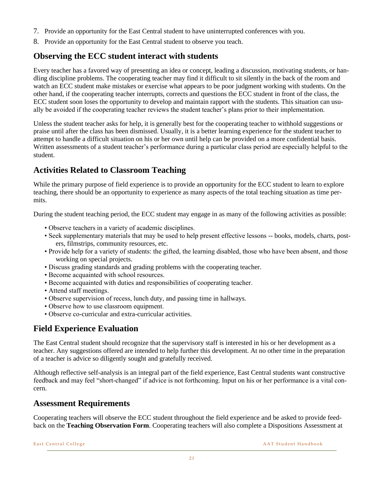- 7. Provide an opportunity for the East Central student to have uninterrupted conferences with you.
- 8. Provide an opportunity for the East Central student to observe you teach.

#### **Observing the ECC student interact with students**

Every teacher has a favored way of presenting an idea or concept, leading a discussion, motivating students, or handling discipline problems. The cooperating teacher may find it difficult to sit silently in the back of the room and watch an ECC student make mistakes or exercise what appears to be poor judgment working with students. On the other hand, if the cooperating teacher interrupts, corrects and questions the ECC student in front of the class, the ECC student soon loses the opportunity to develop and maintain rapport with the students. This situation can usually be avoided if the cooperating teacher reviews the student teacher's plans prior to their implementation.

Unless the student teacher asks for help, it is generally best for the cooperating teacher to withhold suggestions or praise until after the class has been dismissed. Usually, it is a better learning experience for the student teacher to attempt to handle a difficult situation on his or her own until help can be provided on a more confidential basis. Written assessments of a student teacher's performance during a particular class period are especially helpful to the student.

#### **Activities Related to Classroom Teaching**

While the primary purpose of field experience is to provide an opportunity for the ECC student to learn to explore teaching, there should be an opportunity to experience as many aspects of the total teaching situation as time permits.

During the student teaching period, the ECC student may engage in as many of the following activities as possible:

- Observe teachers in a variety of academic disciplines.
- Seek supplementary materials that may be used to help present effective lessons -- books, models, charts, posters, filmstrips, community resources, etc.
- Provide help for a variety of students: the gifted, the learning disabled, those who have been absent, and those working on special projects.
- Discuss grading standards and grading problems with the cooperating teacher.
- Become acquainted with school resources.
- Become acquainted with duties and responsibilities of cooperating teacher.
- Attend staff meetings.
- Observe supervision of recess, lunch duty, and passing time in hallways.
- Observe how to use classroom equipment.
- Observe co-curricular and extra-curricular activities.

#### **Field Experience Evaluation**

The East Central student should recognize that the supervisory staff is interested in his or her development as a teacher. Any suggestions offered are intended to help further this development. At no other time in the preparation of a teacher is advice so diligently sought and gratefully received.

Although reflective self-analysis is an integral part of the field experience, East Central students want constructive feedback and may feel "short-changed" if advice is not forthcoming. Input on his or her performance is a vital concern.

#### **Assessment Requirements**

Cooperating teachers will observe the ECC student throughout the field experience and be asked to provide feedback on the **Teaching Observation Form**. Cooperating teachers will also complete a Dispositions Assessment at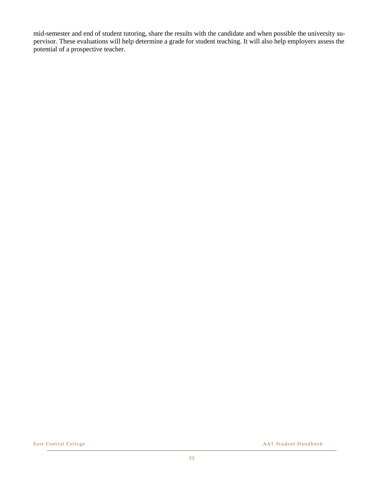mid-semester and end of student tutoring, share the results with the candidate and when possible the university supervisor. These evaluations will help determine a grade for student teaching. It will also help employers assess the potential of a prospective teacher.

East Central College and the set of the set of the set of the set of the AAT Student Handbook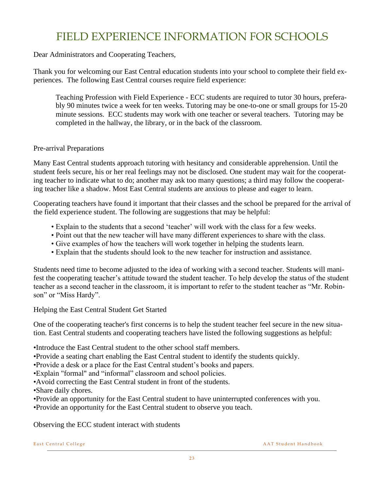## FIELD EXPERIENCE INFORMATION FOR SCHOOLS

Dear Administrators and Cooperating Teachers,

Thank you for welcoming our East Central education students into your school to complete their field experiences. The following East Central courses require field experience:

Teaching Profession with Field Experience - ECC students are required to tutor 30 hours, preferably 90 minutes twice a week for ten weeks. Tutoring may be one-to-one or small groups for 15-20 minute sessions. ECC students may work with one teacher or several teachers. Tutoring may be completed in the hallway, the library, or in the back of the classroom.

#### Pre-arrival Preparations

Many East Central students approach tutoring with hesitancy and considerable apprehension. Until the student feels secure, his or her real feelings may not be disclosed. One student may wait for the cooperating teacher to indicate what to do; another may ask too many questions; a third may follow the cooperating teacher like a shadow. Most East Central students are anxious to please and eager to learn.

Cooperating teachers have found it important that their classes and the school be prepared for the arrival of the field experience student. The following are suggestions that may be helpful:

- Explain to the students that a second 'teacher' will work with the class for a few weeks.
- Point out that the new teacher will have many different experiences to share with the class.
- Give examples of how the teachers will work together in helping the students learn.
- Explain that the students should look to the new teacher for instruction and assistance.

Students need time to become adjusted to the idea of working with a second teacher. Students will manifest the cooperating teacher's attitude toward the student teacher. To help develop the status of the student teacher as a second teacher in the classroom, it is important to refer to the student teacher as "Mr. Robinson" or "Miss Hardy".

Helping the East Central Student Get Started

One of the cooperating teacher's first concerns is to help the student teacher feel secure in the new situation. East Central students and cooperating teachers have listed the following suggestions as helpful:

•Introduce the East Central student to the other school staff members.

- •Provide a seating chart enabling the East Central student to identify the students quickly.
- •Provide a desk or a place for the East Central student's books and papers.
- •Explain "formal" and "informal" classroom and school policies.
- •Avoid correcting the East Central student in front of the students.
- •Share daily chores.
- •Provide an opportunity for the East Central student to have uninterrupted conferences with you.

•Provide an opportunity for the East Central student to observe you teach.

Observing the ECC student interact with students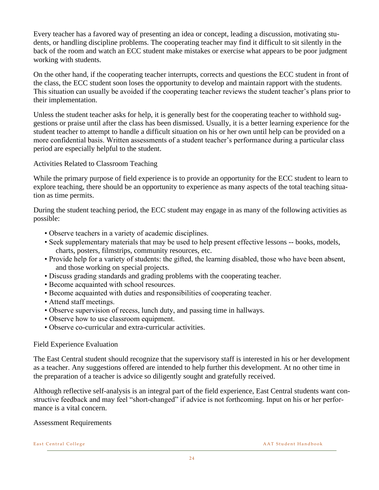Every teacher has a favored way of presenting an idea or concept, leading a discussion, motivating students, or handling discipline problems. The cooperating teacher may find it difficult to sit silently in the back of the room and watch an ECC student make mistakes or exercise what appears to be poor judgment working with students.

On the other hand, if the cooperating teacher interrupts, corrects and questions the ECC student in front of the class, the ECC student soon loses the opportunity to develop and maintain rapport with the students. This situation can usually be avoided if the cooperating teacher reviews the student teacher's plans prior to their implementation.

Unless the student teacher asks for help, it is generally best for the cooperating teacher to withhold suggestions or praise until after the class has been dismissed. Usually, it is a better learning experience for the student teacher to attempt to handle a difficult situation on his or her own until help can be provided on a more confidential basis. Written assessments of a student teacher's performance during a particular class period are especially helpful to the student.

Activities Related to Classroom Teaching

While the primary purpose of field experience is to provide an opportunity for the ECC student to learn to explore teaching, there should be an opportunity to experience as many aspects of the total teaching situation as time permits.

During the student teaching period, the ECC student may engage in as many of the following activities as possible:

- Observe teachers in a variety of academic disciplines.
- Seek supplementary materials that may be used to help present effective lessons -- books, models, charts, posters, filmstrips, community resources, etc.
- Provide help for a variety of students: the gifted, the learning disabled, those who have been absent, and those working on special projects.
- Discuss grading standards and grading problems with the cooperating teacher.
- Become acquainted with school resources.
- Become acquainted with duties and responsibilities of cooperating teacher.
- Attend staff meetings.
- Observe supervision of recess, lunch duty, and passing time in hallways.
- Observe how to use classroom equipment.
- Observe co-curricular and extra-curricular activities.

#### Field Experience Evaluation

The East Central student should recognize that the supervisory staff is interested in his or her development as a teacher. Any suggestions offered are intended to help further this development. At no other time in the preparation of a teacher is advice so diligently sought and gratefully received.

Although reflective self-analysis is an integral part of the field experience, East Central students want constructive feedback and may feel "short-changed" if advice is not forthcoming. Input on his or her performance is a vital concern.

#### Assessment Requirements

East Central College **East Central College** A A T Student Handbook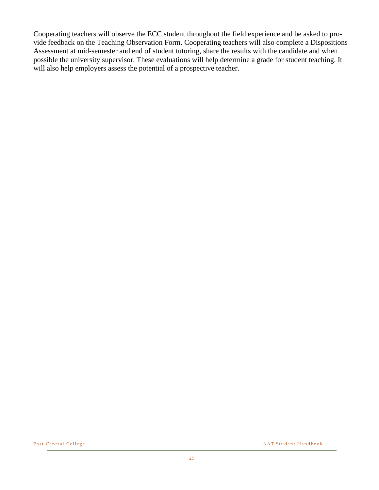Cooperating teachers will observe the ECC student throughout the field experience and be asked to provide feedback on the Teaching Observation Form. Cooperating teachers will also complete a Dispositions Assessment at mid-semester and end of student tutoring, share the results with the candidate and when possible the university supervisor. These evaluations will help determine a grade for student teaching. It will also help employers assess the potential of a prospective teacher.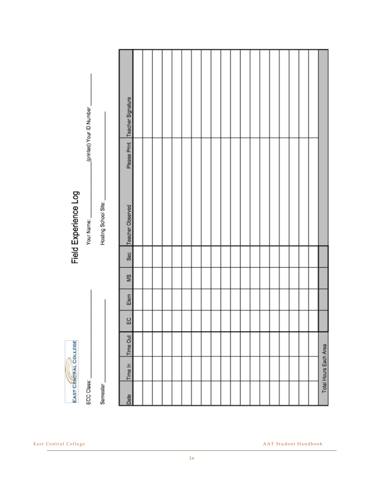|            | EAST CENTRAL COLLEGE  |                 |          |      |    |                 | Field Experience Log |                                  |
|------------|-----------------------|-----------------|----------|------|----|-----------------|----------------------|----------------------------------|
| ECC Class: |                       |                 |          |      |    |                 | Your Name:           | (printed) Your ID Number         |
| Semester   |                       |                 |          |      |    |                 | Hosting School Site: |                                  |
|            |                       |                 |          |      |    |                 |                      |                                  |
| Date       | Time In               | <b>Time Out</b> | $\rm _E$ | Elem | SM | S <sub>60</sub> | Teacher Observed     | Please Print   Teacher Signature |
|            |                       |                 |          |      |    |                 |                      |                                  |
|            |                       |                 |          |      |    |                 |                      |                                  |
|            |                       |                 |          |      |    |                 |                      |                                  |
|            |                       |                 |          |      |    |                 |                      |                                  |
|            |                       |                 |          |      |    |                 |                      |                                  |
|            |                       |                 |          |      |    |                 |                      |                                  |
|            |                       |                 |          |      |    |                 |                      |                                  |
|            |                       |                 |          |      |    |                 |                      |                                  |
|            |                       |                 |          |      |    |                 |                      |                                  |
|            |                       |                 |          |      |    |                 |                      |                                  |
|            |                       |                 |          |      |    |                 |                      |                                  |
|            |                       |                 |          |      |    |                 |                      |                                  |
|            |                       |                 |          |      |    |                 |                      |                                  |
|            |                       |                 |          |      |    |                 |                      |                                  |
|            |                       |                 |          |      |    |                 |                      |                                  |
|            |                       |                 |          |      |    |                 |                      |                                  |
|            |                       |                 |          |      |    |                 |                      |                                  |
|            |                       |                 |          |      |    |                 |                      |                                  |
|            |                       |                 |          |      |    |                 |                      |                                  |
|            | Total Hours Each Area |                 |          |      |    |                 |                      |                                  |